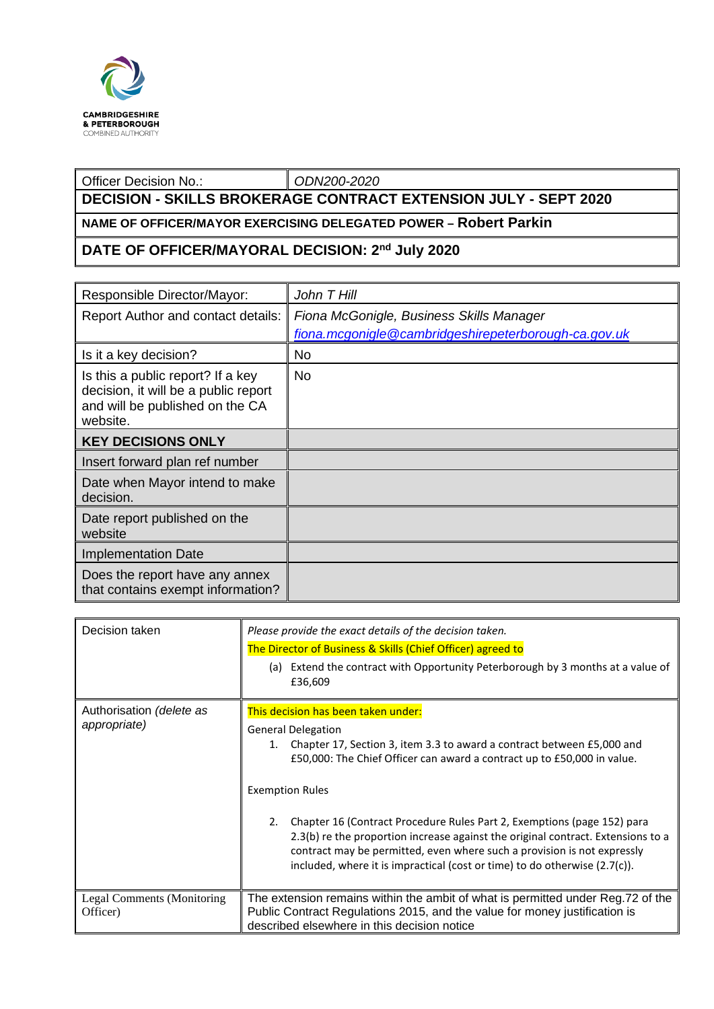

## Officer Decision No.: *ODN200-2020* **DECISION - SKILLS BROKERAGE CONTRACT EXTENSION JULY - SEPT 2020**

## **NAME OF OFFICER/MAYOR EXERCISING DELEGATED POWER – Robert Parkin**

## **DATE OF OFFICER/MAYORAL DECISION: 2nd July 2020**

| Responsible Director/Mayor:                                                                                              | John T Hill                                          |
|--------------------------------------------------------------------------------------------------------------------------|------------------------------------------------------|
| <b>Report Author and contact details:</b>                                                                                | Fiona McGonigle, Business Skills Manager             |
|                                                                                                                          | fiona.mcgonigle@cambridgeshirepeterborough-ca.gov.uk |
| Is it a key decision?                                                                                                    | No.                                                  |
| Is this a public report? If a key<br>decision, it will be a public report<br>and will be published on the CA<br>website. | No.                                                  |
| <b>KEY DECISIONS ONLY</b>                                                                                                |                                                      |
| Insert forward plan ref number                                                                                           |                                                      |
| Date when Mayor intend to make<br>decision.                                                                              |                                                      |
| Date report published on the<br>website                                                                                  |                                                      |
| <b>Implementation Date</b>                                                                                               |                                                      |
| Does the report have any annex<br>that contains exempt information?                                                      |                                                      |

| Decision taken                         | Please provide the exact details of the decision taken.                                                                                                                                                                                                                                                                       |  |  |
|----------------------------------------|-------------------------------------------------------------------------------------------------------------------------------------------------------------------------------------------------------------------------------------------------------------------------------------------------------------------------------|--|--|
|                                        | The Director of Business & Skills (Chief Officer) agreed to                                                                                                                                                                                                                                                                   |  |  |
|                                        | Extend the contract with Opportunity Peterborough by 3 months at a value of<br>(a)<br>£36,609                                                                                                                                                                                                                                 |  |  |
| Authorisation (delete as               | This decision has been taken under:                                                                                                                                                                                                                                                                                           |  |  |
| appropriate)                           | <b>General Delegation</b><br>Chapter 17, Section 3, item 3.3 to award a contract between £5,000 and<br>1.<br>£50,000: The Chief Officer can award a contract up to £50,000 in value.                                                                                                                                          |  |  |
|                                        | <b>Exemption Rules</b>                                                                                                                                                                                                                                                                                                        |  |  |
|                                        | Chapter 16 (Contract Procedure Rules Part 2, Exemptions (page 152) para<br>2.<br>2.3(b) re the proportion increase against the original contract. Extensions to a<br>contract may be permitted, even where such a provision is not expressly<br>included, where it is impractical (cost or time) to do otherwise $(2.7(c))$ . |  |  |
| Legal Comments (Monitoring<br>Officer) | The extension remains within the ambit of what is permitted under Reg.72 of the<br>Public Contract Regulations 2015, and the value for money justification is<br>described elsewhere in this decision notice                                                                                                                  |  |  |